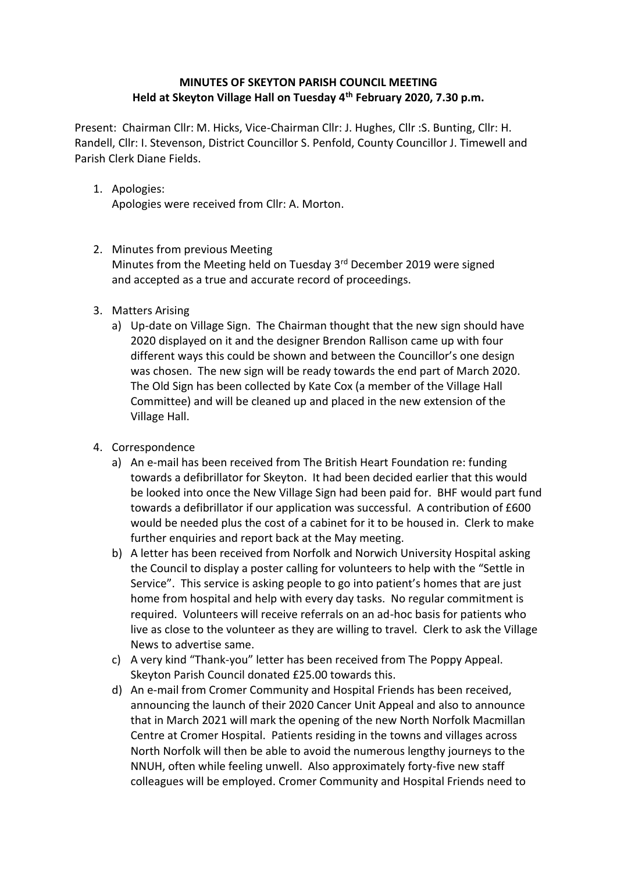## **MINUTES OF SKEYTON PARISH COUNCIL MEETING Held at Skeyton Village Hall on Tuesday 4th February 2020, 7.30 p.m.**

Present: Chairman Cllr: M. Hicks, Vice-Chairman Cllr: J. Hughes, Cllr :S. Bunting, Cllr: H. Randell, Cllr: I. Stevenson, District Councillor S. Penfold, County Councillor J. Timewell and Parish Clerk Diane Fields.

1. Apologies:

Apologies were received from Cllr: A. Morton.

## 2. Minutes from previous Meeting

Minutes from the Meeting held on Tuesday 3<sup>rd</sup> December 2019 were signed and accepted as a true and accurate record of proceedings.

- 3. Matters Arising
	- a) Up-date on Village Sign. The Chairman thought that the new sign should have 2020 displayed on it and the designer Brendon Rallison came up with four different ways this could be shown and between the Councillor's one design was chosen. The new sign will be ready towards the end part of March 2020. The Old Sign has been collected by Kate Cox (a member of the Village Hall Committee) and will be cleaned up and placed in the new extension of the Village Hall.
- 4. Correspondence
	- a) An e-mail has been received from The British Heart Foundation re: funding towards a defibrillator for Skeyton. It had been decided earlier that this would be looked into once the New Village Sign had been paid for. BHF would part fund towards a defibrillator if our application was successful. A contribution of £600 would be needed plus the cost of a cabinet for it to be housed in. Clerk to make further enquiries and report back at the May meeting.
	- b) A letter has been received from Norfolk and Norwich University Hospital asking the Council to display a poster calling for volunteers to help with the "Settle in Service". This service is asking people to go into patient's homes that are just home from hospital and help with every day tasks. No regular commitment is required. Volunteers will receive referrals on an ad-hoc basis for patients who live as close to the volunteer as they are willing to travel. Clerk to ask the Village News to advertise same.
	- c) A very kind "Thank-you" letter has been received from The Poppy Appeal. Skeyton Parish Council donated £25.00 towards this.
	- d) An e-mail from Cromer Community and Hospital Friends has been received, announcing the launch of their 2020 Cancer Unit Appeal and also to announce that in March 2021 will mark the opening of the new North Norfolk Macmillan Centre at Cromer Hospital. Patients residing in the towns and villages across North Norfolk will then be able to avoid the numerous lengthy journeys to the NNUH, often while feeling unwell. Also approximately forty-five new staff colleagues will be employed. Cromer Community and Hospital Friends need to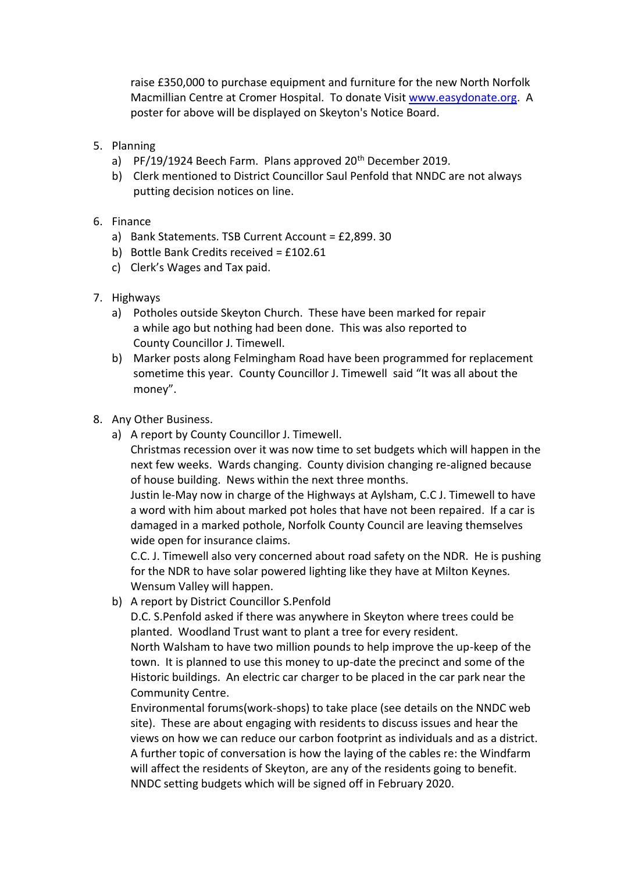raise £350,000 to purchase equipment and furniture for the new North Norfolk Macmillian Centre at Cromer Hospital. To donate Visit [www.easydonate.org.](https://clicktime.symantec.com/35smG9XH5Sv1MEetEGCKKo76H2?u=http%3A%2F%2Fwww.easydonate.org) A poster for above will be displayed on Skeyton's Notice Board.

- 5. Planning
	- a) PF/19/1924 Beech Farm. Plans approved 20<sup>th</sup> December 2019.
	- b) Clerk mentioned to District Councillor Saul Penfold that NNDC are not always putting decision notices on line.
- 6. Finance
	- a) Bank Statements. TSB Current Account = £2,899. 30
	- b) Bottle Bank Credits received = £102.61
	- c) Clerk's Wages and Tax paid.
- 7. Highways
	- a) Potholes outside Skeyton Church. These have been marked for repair a while ago but nothing had been done. This was also reported to County Councillor J. Timewell.
	- b) Marker posts along Felmingham Road have been programmed for replacement sometime this year. County Councillor J. Timewell said "It was all about the money".
- 8. Any Other Business.
	- a) A report by County Councillor J. Timewell.

Christmas recession over it was now time to set budgets which will happen in the next few weeks. Wards changing. County division changing re-aligned because of house building. News within the next three months.

Justin le-May now in charge of the Highways at Aylsham, C.C J. Timewell to have a word with him about marked pot holes that have not been repaired. If a car is damaged in a marked pothole, Norfolk County Council are leaving themselves wide open for insurance claims.

C.C. J. Timewell also very concerned about road safety on the NDR. He is pushing for the NDR to have solar powered lighting like they have at Milton Keynes. Wensum Valley will happen.

b) A report by District Councillor S.Penfold

D.C. S.Penfold asked if there was anywhere in Skeyton where trees could be planted. Woodland Trust want to plant a tree for every resident.

North Walsham to have two million pounds to help improve the up-keep of the town. It is planned to use this money to up-date the precinct and some of the Historic buildings. An electric car charger to be placed in the car park near the Community Centre.

Environmental forums(work-shops) to take place (see details on the NNDC web site). These are about engaging with residents to discuss issues and hear the views on how we can reduce our carbon footprint as individuals and as a district. A further topic of conversation is how the laying of the cables re: the Windfarm will affect the residents of Skeyton, are any of the residents going to benefit. NNDC setting budgets which will be signed off in February 2020.